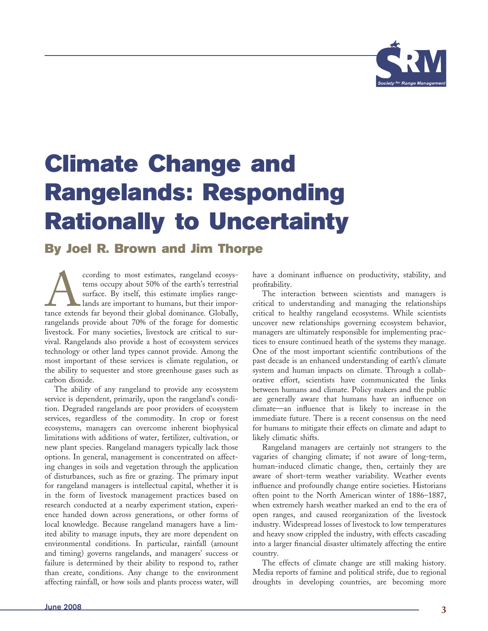

# **Climate Change and Rangelands: Responding Rationally to Uncertainty**

# **By Joel R. Brown and Jim Thorpe**

coording to most estimates, rangeland ecosys-<br>tems occupy about 50% of the earth's terrestrial<br>surface. By itself, this estimate implies range-<br>lands are important to humans, but their impor-<br>tance extends far beyond their tems occupy about 50% of the earth's terrestrial surface. By itself, this estimate implies rangelands are important to humans, but their importance extends far beyond their global dominance. Globally, rangelands provide about 70% of the forage for domestic livestock. For many societies, livestock are critical to survival. Rangelands also provide a host of ecosystem services technology or other land types cannot provide. Among the most important of these services is climate regulation, or the ability to sequester and store greenhouse gases such as carbon dioxide.

The ability of any rangeland to provide any ecosystem service is dependent, primarily, upon the rangeland's condition. Degraded rangelands are poor providers of ecosystem services, regardless of the commodity. In crop or forest ecosystems, managers can overcome inherent biophysical limitations with additions of water, fertilizer, cultivation, or new plant species. Rangeland managers typically lack those options. In general, management is concentrated on affecting changes in soils and vegetation through the application of disturbances, such as fire or grazing. The primary input for rangeland managers is intellectual capital, whether it is in the form of livestock management practices based on research conducted at a nearby experiment station, experience handed down across generations, or other forms of local knowledge. Because rangeland managers have a limited ability to manage inputs, they are more dependent on environmental conditions. In particular, rainfall (amount and timing) governs rangelands, and managers' success or failure is determined by their ability to respond to, rather than create, conditions. Any change to the environment affecting rainfall, or how soils and plants process water, will

have a dominant influence on productivity, stability, and profitability.

The interaction between scientists and managers is critical to understanding and managing the relationships critical to healthy rangeland ecosystems. While scientists uncover new relationships governing ecosystem behavior, managers are ultimately responsible for implementing practices to ensure continued heath of the systems they manage. One of the most important scientific contributions of the past decade is an enhanced understanding of earth's climate system and human impacts on climate. Through a collaborative effort, scientists have communicated the links between humans and climate. Policy makers and the public are generally aware that humans have an influence on climate—an influence that is likely to increase in the immediate future. There is a recent consensus on the need for humans to mitigate their effects on climate and adapt to likely climatic shifts.

Rangeland managers are certainly not strangers to the vagaries of changing climate; if not aware of long-term, human-induced climatic change, then, certainly they are aware of short-term weather variability. Weather events influence and profoundly change entire societies. Historians often point to the North American winter of 1886–1887, when extremely harsh weather marked an end to the era of open ranges, and caused reorganization of the livestock industry. Widespread losses of livestock to low temperatures and heavy snow crippled the industry, with effects cascading into a larger financial disaster ultimately affecting the entire country.

The effects of climate change are still making history. Media reports of famine and political strife, due to regional droughts in developing countries, are becoming more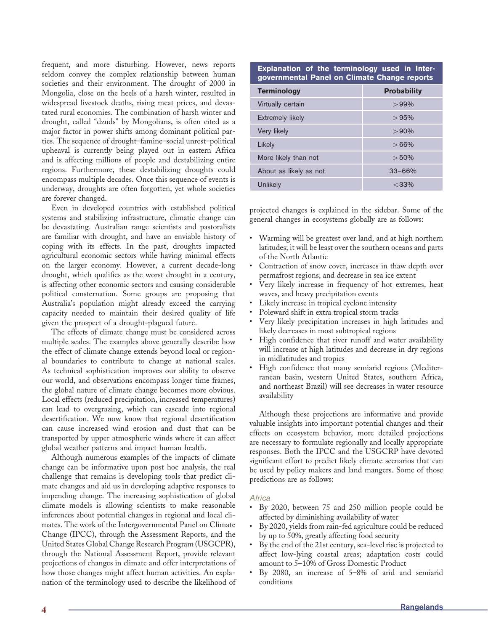frequent, and more disturbing. However, news reports seldom convey the complex relationship between human societies and their environment. The drought of 2000 in Mongolia, close on the heels of a harsh winter, resulted in widespread livestock deaths, rising meat prices, and devastated rural economies. The combination of harsh winter and drought, called "dzuds" by Mongolians, is often cited as a major factor in power shifts among dominant political parties. The sequence of drought–famine–social unrest–political upheaval is currently being played out in eastern Africa and is affecting millions of people and destabilizing entire regions. Furthermore, these destabilizing droughts could encompass multiple decades. Once this sequence of events is underway, droughts are often forgotten, yet whole societies are forever changed.

Even in developed countries with established political systems and stabilizing infrastructure, climatic change can be devastating. Australian range scientists and pastoralists are familiar with drought, and have an enviable history of coping with its effects. In the past, droughts impacted agricultural economic sectors while having minimal effects on the larger economy. However, a current decade-long drought, which qualifies as the worst drought in a century, is affecting other economic sectors and causing considerable political consternation. Some groups are proposing that Australia's population might already exceed the carrying capacity needed to maintain their desired quality of life given the prospect of a drought-plagued future.

The effects of climate change must be considered across multiple scales. The examples above generally describe how the effect of climate change extends beyond local or regional boundaries to contribute to change at national scales. As technical sophistication improves our ability to observe our world, and observations encompass longer time frames, the global nature of climate change becomes more obvious. Local effects (reduced precipitation, increased temperatures) can lead to overgrazing, which can cascade into regional desertification. We now know that regional desertification can cause increased wind erosion and dust that can be transported by upper atmospheric winds where it can affect global weather patterns and impact human health.

Although numerous examples of the impacts of climate change can be informative upon post hoc analysis, the real challenge that remains is developing tools that predict climate changes and aid us in developing adaptive responses to impending change. The increasing sophistication of global climate models is allowing scientists to make reasonable inferences about potential changes in regional and local climates. The work of the Intergovernmental Panel on Climate Change (IPCC), through the Assessment Reports, and the United States Global Change Research Program (USGCPR), through the National Assessment Report, provide relevant projections of changes in climate and offer interpretations of how those changes might affect human activities. An explanation of the terminology used to describe the likelihood of

#### **Explanation of the terminology used in Intergovernmental Panel on Climate Change reports**

| <b>Terminology</b>      | <b>Probability</b> |
|-------------------------|--------------------|
| Virtually certain       | $>99\%$            |
| <b>Extremely likely</b> | >95%               |
| Very likely             | >90%               |
| Likely                  | >66%               |
| More likely than not    | > 50%              |
| About as likely as not  | $33 - 66%$         |
| Unlikely                | $<$ 33%            |

projected changes is explained in the sidebar. Some of the general changes in ecosystems globally are as follows:

- Warming will be greatest over land, and at high northern latitudes; it will be least over the southern oceans and parts of the North Atlantic
- Contraction of snow cover, increases in thaw depth over permafrost regions, and decrease in sea ice extent
- Very likely increase in frequency of hot extremes, heat waves, and heavy precipitation events
- Likely increase in tropical cyclone intensity
- Poleward shift in extra tropical storm tracks
- Very likely precipitation increases in high latitudes and likely decreases in most subtropical regions
- High confidence that river runoff and water availability will increase at high latitudes and decrease in dry regions in midlatitudes and tropics
- High confidence that many semiarid regions (Mediterranean basin, western United States, southern Africa, and northeast Brazil) will see decreases in water resource availability

Although these projections are informative and provide valuable insights into important potential changes and their effects on ecosystem behavior, more detailed projections are necessary to formulate regionally and locally appropriate responses. Both the IPCC and the USGCRP have devoted significant effort to predict likely climate scenarios that can be used by policy makers and land mangers. Some of those predictions are as follows:

# *Africa*

- By 2020, between 75 and 250 million people could be affected by diminishing availability of water
- By 2020, yields from rain-fed agriculture could be reduced by up to 50%, greatly affecting food security
- By the end of the 21st century, sea-level rise is projected to affect low-lying coastal areas; adaptation costs could amount to 5–10% of Gross Domestic Product
- By 2080, an increase of 5–8% of arid and semiarid conditions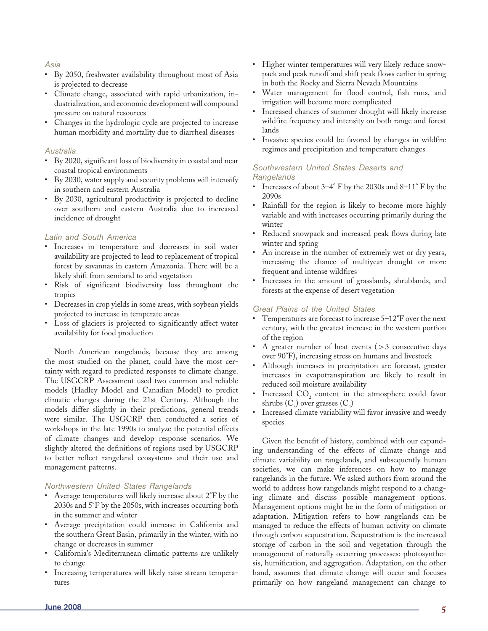# *Asia*

- By 2050, freshwater availability throughout most of Asia is projected to decrease
- Climate change, associated with rapid urbanization, industrialization, and economic development will compound pressure on natural resources
- Changes in the hydrologic cycle are projected to increase human morbidity and mortality due to diarrheal diseases

# *Australia*

- By 2020, significant loss of biodiversity in coastal and near coastal tropical environments
- By 2030, water supply and security problems will intensify in southern and eastern Australia
- By 2030, agricultural productivity is projected to decline over southern and eastern Australia due to increased incidence of drought

# *Latin and South America*

- Increases in temperature and decreases in soil water availability are projected to lead to replacement of tropical forest by savannas in eastern Amazonia. There will be a likely shift from semiarid to arid vegetation
- Risk of significant biodiversity loss throughout the tropics
- Decreases in crop yields in some areas, with soybean yields projected to increase in temperate areas
- Loss of glaciers is projected to significantly affect water availability for food production

North American rangelands, because they are among the most studied on the planet, could have the most certainty with regard to predicted responses to climate change. The USGCRP Assessment used two common and reliable models (Hadley Model and Canadian Model) to predict climatic changes during the 21st Century. Although the models differ slightly in their predictions, general trends were similar. The USGCRP then conducted a series of workshops in the late 1990s to analyze the potential effects of climate changes and develop response scenarios. We slightly altered the definitions of regions used by USGCRP to better reflect rangeland ecosystems and their use and management patterns.

# *Northwestern United States Rangelands*

- Average temperatures will likely increase about 2°F by the 2030s and 5°F by the 2050s, with increases occurring both in the summer and winter
- Average precipitation could increase in California and the southern Great Basin, primarily in the winter, with no change or decreases in summer
- California's Mediterranean climatic patterns are unlikely to change
- Increasing temperatures will likely raise stream temperatures
- Higher winter temperatures will very likely reduce snowpack and peak runoff and shift peak flows earlier in spring in both the Rocky and Sierra Nevada Mountains
- Water management for flood control, fish runs, and irrigation will become more complicated
- Increased chances of summer drought will likely increase wildfire frequency and intensity on both range and forest lands
- Invasive species could be favored by changes in wildfire regimes and precipitation and temperature changes

# *Southwestern United States Deserts and Rangelands*

- Increases of about 3–4° F by the 2030s and 8–11° F by the 2090s
- Rainfall for the region is likely to become more highly variable and with increases occurring primarily during the winter
- Reduced snowpack and increased peak flows during late winter and spring
- An increase in the number of extremely wet or dry years, increasing the chance of multiyear drought or more frequent and intense wildfires
- Increases in the amount of grasslands, shrublands, and forests at the expense of desert vegetation

# *Great Plains of the United States*

- Temperatures are forecast to increase 5–12°F over the next century, with the greatest increase in the western portion of the region
- A greater number of heat events  $(>3$  consecutive days over 90°F), increasing stress on humans and livestock
- Although increases in precipitation are forecast, greater increases in evapotranspiration are likely to result in reduced soil moisture availability
- Increased  $CO<sub>2</sub>$  content in the atmosphere could favor shrubs  $(C_3)$  over grasses  $(C_4)$
- Increased climate variability will favor invasive and weedy species

Given the benefit of history, combined with our expanding understanding of the effects of climate change and climate variability on rangelands, and subsequently human societies, we can make inferences on how to manage rangelands in the future. We asked authors from around the world to address how rangelands might respond to a changing climate and discuss possible management options. Management options might be in the form of mitigation or adaptation. Mitigation refers to how rangelands can be managed to reduce the effects of human activity on climate through carbon sequestration. Sequestration is the increased storage of carbon in the soil and vegetation through the management of naturally occurring processes: photosynthesis, humification, and aggregation. Adaptation, on the other hand, assumes that climate change will occur and focuses primarily on how rangeland management can change to